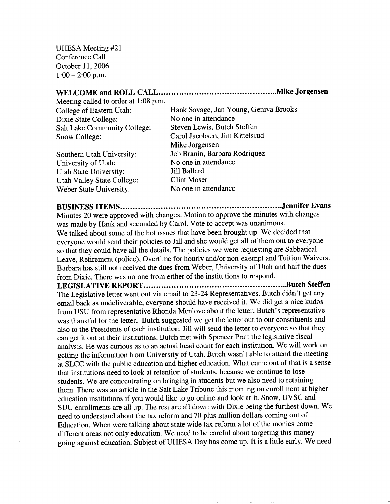UHESA Meeting #21 Conference Call October 11, 2006  $1:00-2:00$  p.m.

## **WELCOME and ROLL CALL Mike Jorgensen** Meeting called to order at 1:08 p.m. College of Eastern Utah: Hank Savage, Jan Young, Geniva Brooks Dixie State College: No one in attendance Salt Lake Community College: Steven Lewis, Butch Steffen Snow College: Carol Jacobsen, Jim Kittelsrud Mike Jorgensen Southern Utah University: Jeb Branin, Barbara Rodriquez University of Utah: No one in attendance Utah State University: Jill Ballard Utah Valley State College: Clint Moser Weber State University: No one in attendance

**BUSINESS ITEMS Jennifer Evans**

Minutes 20 were approved with changes. Motion to approve the minutes with changes was made by Hank and seconded by Carol. Vote to accept was unanimous. We talked about some of the hot issues that have been brought up. We decided that everyone would send their policies to Jill and she would get all of them out to everyone so that they could have all the details. The policies we were requesting are Sabbatical Leave, Retirement (police), Overtime for hourly and/or non-exempt and Tuition Waivers. Barbara has still not received the dues from Weber, University of Utah and half the dues from Dixie. There was no one from either of the institutions to respond.

**LEGISLATIVE REPORT Butch Steffen** The Legislative letter went out via email to 23-24 Representatives. Butch didn't get any email back as undeliverable, everyone should have received it. We did get a nice kudos from USU from representative Rhonda Menlove about the letter. Butch's representative was thankful for the letter. Butch suggested we get the letter out to our constituents and also to the Presidents of each institution. Jill will send the letter to everyone so that they can get it out at their institutions. Butch met with Spencer Pratt the legislative fiscal analysis. He was curious as to an actual head count for each institution. We will work on getting the information from University of Utah. Butch wasn't able to attend the meeting at SLCC with the public education and higher education. What came out of that is a sense that institutions need to look at retention of students, because we continue to lose students. We are concentrating on bringing in students but we also need to retaining them. There was an article in the Salt Lake Tribune this morning on enrollment at higher education institutions if you would like to go online and look at it. Snow, UVSC and SUU enrollments are all up. The rest are all down with Dixie being the furthest down. We need to understand about the tax reform and 70 plus million dollars coming out of Education. When were talking about state wide tax reform a lot of the monies come different areas not only education. We need to be careful about targeting this money going against education. Subject of UHESA Day has come up. It is a little early. We need